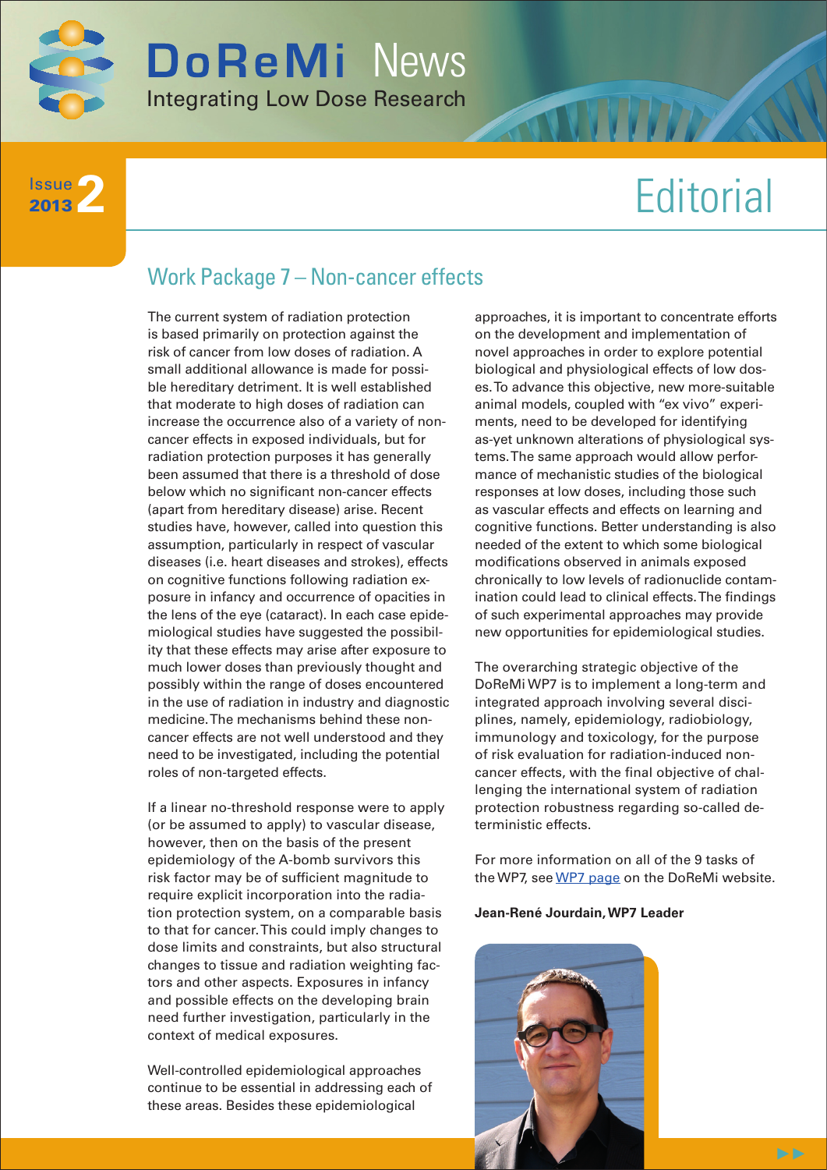

**2** Issue 2013

# **Editorial**

# Work Package 7 – Non-cancer effects

The current system of radiation protection is based primarily on protection against the risk of cancer from low doses of radiation. A small additional allowance is made for possible hereditary detriment. It is well established that moderate to high doses of radiation can increase the occurrence also of a variety of noncancer effects in exposed individuals, but for radiation protection purposes it has generally been assumed that there is a threshold of dose below which no significant non-cancer effects (apart from hereditary disease) arise. Recent studies have, however, called into question this assumption, particularly in respect of vascular diseases (i.e. heart diseases and strokes), effects on cognitive functions following radiation exposure in infancy and occurrence of opacities in the lens of the eye (cataract). In each case epidemiological studies have suggested the possibility that these effects may arise after exposure to much lower doses than previously thought and possibly within the range of doses encountered in the use of radiation in industry and diagnostic medicine. The mechanisms behind these noncancer effects are not well understood and they need to be investigated, including the potential roles of non-targeted effects.

If a linear no-threshold response were to apply (or be assumed to apply) to vascular disease, however, then on the basis of the present epidemiology of the A-bomb survivors this risk factor may be of sufficient magnitude to require explicit incorporation into the radiation protection system, on a comparable basis to that for cancer. This could imply changes to dose limits and constraints, but also structural changes to tissue and radiation weighting factors and other aspects. Exposures in infancy and possible effects on the developing brain need further investigation, particularly in the context of medical exposures.

Well-controlled epidemiological approaches continue to be essential in addressing each of these areas. Besides these epidemiological

approaches, it is important to concentrate efforts on the development and implementation of novel approaches in order to explore potential biological and physiological effects of low doses. To advance this objective, new more-suitable animal models, coupled with "ex vivo" experiments, need to be developed for identifying as-yet unknown alterations of physiological systems. The same approach would allow performance of mechanistic studies of the biological responses at low doses, including those such as vascular effects and effects on learning and cognitive functions. Better understanding is also needed of the extent to which some biological modifications observed in animals exposed chronically to low levels of radionuclide contamination could lead to clinical effects. The findings of such experimental approaches may provide new opportunities for epidemiological studies.

The overarching strategic objective of the DoReMi WP7 is to implement a long-term and integrated approach involving several disciplines, namely, epidemiology, radiobiology, immunology and toxicology, for the purpose of risk evaluation for radiation-induced noncancer effects, with the final objective of challenging the international system of radiation protection robustness regarding so-called deterministic effects.

For more information on all of the 9 tasks of the WP7, see [WP7 page](http://www.doremi-noe.net/wp7.html) on the DoReMi website.

#### **Jean-René Jourdain, WP7 Leader**